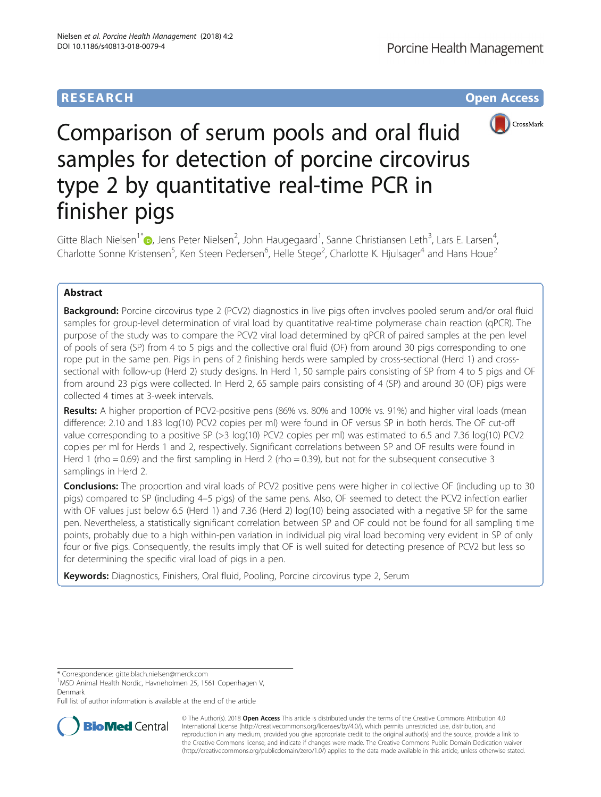# **RESEARCH CHE Open Access**



# Comparison of serum pools and oral fluid samples for detection of porcine circovirus type 2 by quantitative real-time PCR in finisher pigs

Gitte Blach Nielsen<sup>1[\\*](http://orcid.org/0000-0003-1591-1280)</sup> D, Jens Peter Nielsen<sup>2</sup>, John Haugegaard<sup>1</sup>, Sanne Christiansen Leth<sup>3</sup>, Lars E. Larsen<sup>4</sup> , Charlotte Sonne Kristensen<sup>5</sup>, Ken Steen Pedersen<sup>6</sup>, Helle Stege<sup>2</sup>, Charlotte K. Hjulsager<sup>4</sup> and Hans Houe<sup>2</sup>

# Abstract

**Background:** Porcine circovirus type 2 (PCV2) diagnostics in live pigs often involves pooled serum and/or oral fluid samples for group-level determination of viral load by quantitative real-time polymerase chain reaction (qPCR). The purpose of the study was to compare the PCV2 viral load determined by qPCR of paired samples at the pen level of pools of sera (SP) from 4 to 5 pigs and the collective oral fluid (OF) from around 30 pigs corresponding to one rope put in the same pen. Pigs in pens of 2 finishing herds were sampled by cross-sectional (Herd 1) and crosssectional with follow-up (Herd 2) study designs. In Herd 1, 50 sample pairs consisting of SP from 4 to 5 pigs and OF from around 23 pigs were collected. In Herd 2, 65 sample pairs consisting of 4 (SP) and around 30 (OF) pigs were collected 4 times at 3-week intervals.

Results: A higher proportion of PCV2-positive pens (86% vs. 80% and 100% vs. 91%) and higher viral loads (mean difference: 2.10 and 1.83 log(10) PCV2 copies per ml) were found in OF versus SP in both herds. The OF cut-off value corresponding to a positive SP (>3 log(10) PCV2 copies per ml) was estimated to 6.5 and 7.36 log(10) PCV2 copies per ml for Herds 1 and 2, respectively. Significant correlations between SP and OF results were found in Herd 1 (rho = 0.69) and the first sampling in Herd 2 (rho = 0.39), but not for the subsequent consecutive 3 samplings in Herd 2.

**Conclusions:** The proportion and viral loads of PCV2 positive pens were higher in collective OF (including up to 30 pigs) compared to SP (including 4–5 pigs) of the same pens. Also, OF seemed to detect the PCV2 infection earlier with OF values just below 6.5 (Herd 1) and 7.36 (Herd 2) log(10) being associated with a negative SP for the same pen. Nevertheless, a statistically significant correlation between SP and OF could not be found for all sampling time points, probably due to a high within-pen variation in individual pig viral load becoming very evident in SP of only four or five pigs. Consequently, the results imply that OF is well suited for detecting presence of PCV2 but less so for determining the specific viral load of pigs in a pen.

Keywords: Diagnostics, Finishers, Oral fluid, Pooling, Porcine circovirus type 2, Serum

Full list of author information is available at the end of the article



© The Author(s). 2018 Open Access This article is distributed under the terms of the Creative Commons Attribution 4.0 International License [\(http://creativecommons.org/licenses/by/4.0/](http://creativecommons.org/licenses/by/4.0/)), which permits unrestricted use, distribution, and reproduction in any medium, provided you give appropriate credit to the original author(s) and the source, provide a link to the Creative Commons license, and indicate if changes were made. The Creative Commons Public Domain Dedication waiver [\(http://creativecommons.org/publicdomain/zero/1.0/](http://creativecommons.org/publicdomain/zero/1.0/)) applies to the data made available in this article, unless otherwise stated.

<sup>\*</sup> Correspondence: [gitte.blach.nielsen@merck.com](mailto:gitte.blach.nielsen@merck.com) <sup>1</sup>

<sup>&</sup>lt;sup>1</sup>MSD Animal Health Nordic, Havneholmen 25, 1561 Copenhagen V, Denmark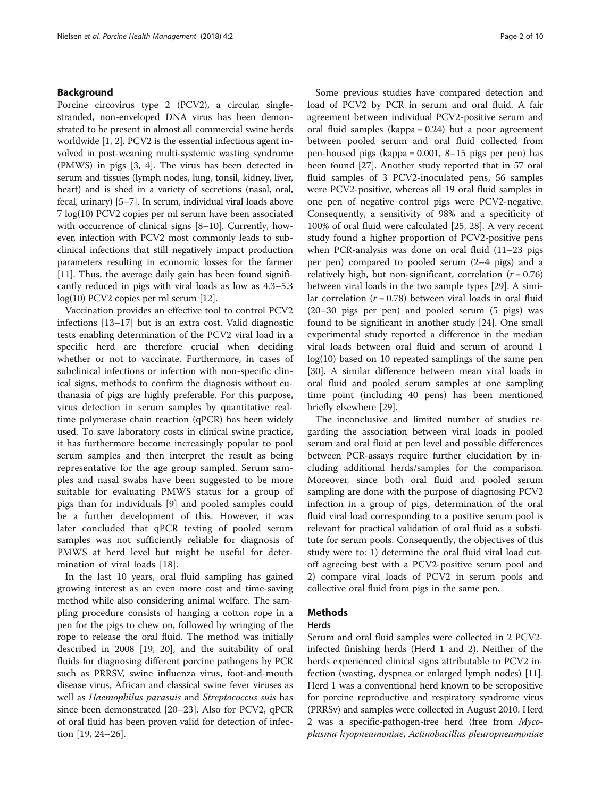# Background

Porcine circovirus type 2 (PCV2), a circular, singlestranded, non-enveloped DNA virus has been demonstrated to be present in almost all commercial swine herds worldwide [\[1, 2](#page-8-0)]. PCV2 is the essential infectious agent involved in post-weaning multi-systemic wasting syndrome (PMWS) in pigs [\[3](#page-8-0), [4\]](#page-8-0). The virus has been detected in serum and tissues (lymph nodes, lung, tonsil, kidney, liver, heart) and is shed in a variety of secretions (nasal, oral, fecal, urinary) [[5](#page-8-0)–[7](#page-8-0)]. In serum, individual viral loads above 7 log(10) PCV2 copies per ml serum have been associated with occurrence of clinical signs [\[8](#page-8-0)–[10\]](#page-8-0). Currently, however, infection with PCV2 most commonly leads to subclinical infections that still negatively impact production parameters resulting in economic losses for the farmer [[11](#page-8-0)]. Thus, the average daily gain has been found significantly reduced in pigs with viral loads as low as 4.3–5.3 log(10) PCV2 copies per ml serum [[12](#page-8-0)].

Vaccination provides an effective tool to control PCV2 infections [[13](#page-8-0)–[17](#page-8-0)] but is an extra cost. Valid diagnostic tests enabling determination of the PCV2 viral load in a specific herd are therefore crucial when deciding whether or not to vaccinate. Furthermore, in cases of subclinical infections or infection with non-specific clinical signs, methods to confirm the diagnosis without euthanasia of pigs are highly preferable. For this purpose, virus detection in serum samples by quantitative realtime polymerase chain reaction (qPCR) has been widely used. To save laboratory costs in clinical swine practice, it has furthermore become increasingly popular to pool serum samples and then interpret the result as being representative for the age group sampled. Serum samples and nasal swabs have been suggested to be more suitable for evaluating PMWS status for a group of pigs than for individuals [[9\]](#page-8-0) and pooled samples could be a further development of this. However, it was later concluded that qPCR testing of pooled serum samples was not sufficiently reliable for diagnosis of PMWS at herd level but might be useful for determination of viral loads [\[18](#page-8-0)].

In the last 10 years, oral fluid sampling has gained growing interest as an even more cost and time-saving method while also considering animal welfare. The sampling procedure consists of hanging a cotton rope in a pen for the pigs to chew on, followed by wringing of the rope to release the oral fluid. The method was initially described in 2008 [[19](#page-8-0), [20](#page-8-0)], and the suitability of oral fluids for diagnosing different porcine pathogens by PCR such as PRRSV, swine influenza virus, foot-and-mouth disease virus, African and classical swine fever viruses as well as *Haemophilus parasuis* and *Streptococcus suis* has since been demonstrated [\[20](#page-8-0)–[23\]](#page-8-0). Also for PCV2, qPCR of oral fluid has been proven valid for detection of infection [\[19, 24](#page-8-0)–[26\]](#page-8-0).

Some previous studies have compared detection and load of PCV2 by PCR in serum and oral fluid. A fair agreement between individual PCV2-positive serum and oral fluid samples (kappa = 0.24) but a poor agreement between pooled serum and oral fluid collected from pen-housed pigs (kappa = 0.001, 8–15 pigs per pen) has been found [\[27](#page-8-0)]. Another study reported that in 57 oral fluid samples of 3 PCV2-inoculated pens, 56 samples were PCV2-positive, whereas all 19 oral fluid samples in one pen of negative control pigs were PCV2-negative. Consequently, a sensitivity of 98% and a specificity of 100% of oral fluid were calculated [\[25, 28](#page-8-0)]. A very recent study found a higher proportion of PCV2-positive pens when PCR-analysis was done on oral fluid (11–23 pigs per pen) compared to pooled serum (2–4 pigs) and a relatively high, but non-significant, correlation  $(r = 0.76)$ between viral loads in the two sample types [[29\]](#page-8-0). A similar correlation ( $r = 0.78$ ) between viral loads in oral fluid (20–30 pigs per pen) and pooled serum (5 pigs) was found to be significant in another study [\[24](#page-8-0)]. One small experimental study reported a difference in the median viral loads between oral fluid and serum of around 1 log(10) based on 10 repeated samplings of the same pen [[30\]](#page-8-0). A similar difference between mean viral loads in oral fluid and pooled serum samples at one sampling time point (including 40 pens) has been mentioned briefly elsewhere [\[29\]](#page-8-0).

The inconclusive and limited number of studies regarding the association between viral loads in pooled serum and oral fluid at pen level and possible differences between PCR-assays require further elucidation by including additional herds/samples for the comparison. Moreover, since both oral fluid and pooled serum sampling are done with the purpose of diagnosing PCV2 infection in a group of pigs, determination of the oral fluid viral load corresponding to a positive serum pool is relevant for practical validation of oral fluid as a substitute for serum pools. Consequently, the objectives of this study were to: 1) determine the oral fluid viral load cutoff agreeing best with a PCV2-positive serum pool and 2) compare viral loads of PCV2 in serum pools and collective oral fluid from pigs in the same pen.

# Methods

# Herds

Serum and oral fluid samples were collected in 2 PCV2 infected finishing herds (Herd 1 and 2). Neither of the herds experienced clinical signs attributable to PCV2 infection (wasting, dyspnea or enlarged lymph nodes) [\[11](#page-8-0)]. Herd 1 was a conventional herd known to be seropositive for porcine reproductive and respiratory syndrome virus (PRRSv) and samples were collected in August 2010. Herd 2 was a specific-pathogen-free herd (free from Mycoplasma hyopneumoniae, Actinobacillus pleuropneumoniae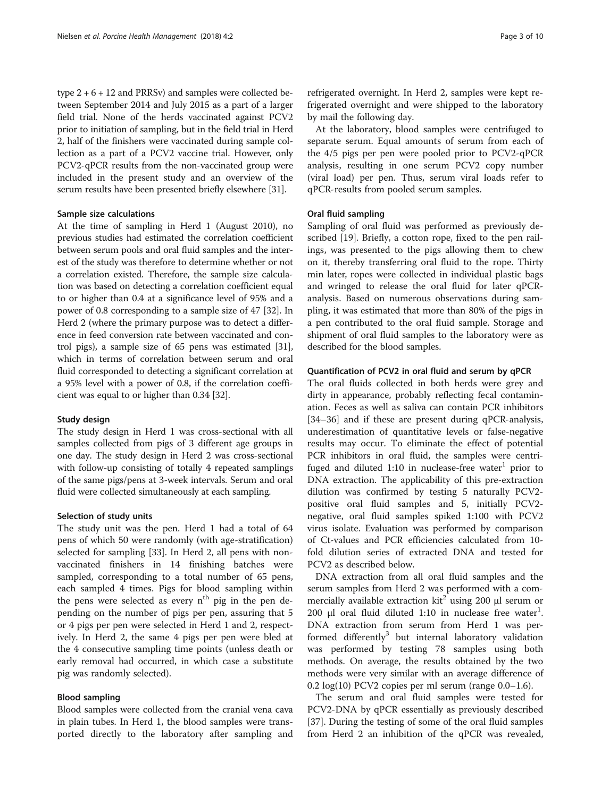type 2 + 6 + 12 and PRRSv) and samples were collected between September 2014 and July 2015 as a part of a larger field trial. None of the herds vaccinated against PCV2 prior to initiation of sampling, but in the field trial in Herd 2, half of the finishers were vaccinated during sample collection as a part of a PCV2 vaccine trial. However, only PCV2-qPCR results from the non-vaccinated group were included in the present study and an overview of the serum results have been presented briefly elsewhere [\[31\]](#page-8-0).

### Sample size calculations

At the time of sampling in Herd 1 (August 2010), no previous studies had estimated the correlation coefficient between serum pools and oral fluid samples and the interest of the study was therefore to determine whether or not a correlation existed. Therefore, the sample size calculation was based on detecting a correlation coefficient equal to or higher than 0.4 at a significance level of 95% and a power of 0.8 corresponding to a sample size of 47 [\[32\]](#page-8-0). In Herd 2 (where the primary purpose was to detect a difference in feed conversion rate between vaccinated and control pigs), a sample size of 65 pens was estimated [[31](#page-8-0)], which in terms of correlation between serum and oral fluid corresponded to detecting a significant correlation at a 95% level with a power of 0.8, if the correlation coefficient was equal to or higher than 0.34 [\[32\]](#page-8-0).

#### Study design

The study design in Herd 1 was cross-sectional with all samples collected from pigs of 3 different age groups in one day. The study design in Herd 2 was cross-sectional with follow-up consisting of totally 4 repeated samplings of the same pigs/pens at 3-week intervals. Serum and oral fluid were collected simultaneously at each sampling.

# Selection of study units

The study unit was the pen. Herd 1 had a total of 64 pens of which 50 were randomly (with age-stratification) selected for sampling [\[33](#page-9-0)]. In Herd 2, all pens with nonvaccinated finishers in 14 finishing batches were sampled, corresponding to a total number of 65 pens, each sampled 4 times. Pigs for blood sampling within the pens were selected as every  $n<sup>th</sup>$  pig in the pen depending on the number of pigs per pen, assuring that 5 or 4 pigs per pen were selected in Herd 1 and 2, respectively. In Herd 2, the same 4 pigs per pen were bled at the 4 consecutive sampling time points (unless death or early removal had occurred, in which case a substitute pig was randomly selected).

# Blood sampling

Blood samples were collected from the cranial vena cava in plain tubes. In Herd 1, the blood samples were transported directly to the laboratory after sampling and

refrigerated overnight. In Herd 2, samples were kept refrigerated overnight and were shipped to the laboratory by mail the following day.

At the laboratory, blood samples were centrifuged to separate serum. Equal amounts of serum from each of the 4/5 pigs per pen were pooled prior to PCV2-qPCR analysis, resulting in one serum PCV2 copy number (viral load) per pen. Thus, serum viral loads refer to qPCR-results from pooled serum samples.

# Oral fluid sampling

Sampling of oral fluid was performed as previously described [\[19](#page-8-0)]. Briefly, a cotton rope, fixed to the pen railings, was presented to the pigs allowing them to chew on it, thereby transferring oral fluid to the rope. Thirty min later, ropes were collected in individual plastic bags and wringed to release the oral fluid for later qPCRanalysis. Based on numerous observations during sampling, it was estimated that more than 80% of the pigs in a pen contributed to the oral fluid sample. Storage and shipment of oral fluid samples to the laboratory were as described for the blood samples.

#### Quantification of PCV2 in oral fluid and serum by qPCR

The oral fluids collected in both herds were grey and dirty in appearance, probably reflecting fecal contamination. Feces as well as saliva can contain PCR inhibitors [[34](#page-9-0)–[36](#page-9-0)] and if these are present during qPCR-analysis, underestimation of quantitative levels or false-negative results may occur. To eliminate the effect of potential PCR inhibitors in oral fluid, the samples were centrifuged and diluted 1:10 in nuclease-free water<sup>1</sup> prior to DNA extraction. The applicability of this pre-extraction dilution was confirmed by testing 5 naturally PCV2 positive oral fluid samples and 5, initially PCV2 negative, oral fluid samples spiked 1:100 with PCV2 virus isolate. Evaluation was performed by comparison of Ct-values and PCR efficiencies calculated from 10 fold dilution series of extracted DNA and tested for PCV2 as described below.

DNA extraction from all oral fluid samples and the serum samples from Herd 2 was performed with a commercially available extraction kit<sup>2</sup> using 200  $\mu$ l serum or 200 μl oral fluid diluted 1:10 in nuclease free water<sup>1</sup>. DNA extraction from serum from Herd 1 was performed differently $3$  but internal laboratory validation was performed by testing 78 samples using both methods. On average, the results obtained by the two methods were very similar with an average difference of 0.2 log(10) PCV2 copies per ml serum (range 0.0–1.6).

The serum and oral fluid samples were tested for PCV2-DNA by qPCR essentially as previously described [[37\]](#page-9-0). During the testing of some of the oral fluid samples from Herd 2 an inhibition of the qPCR was revealed,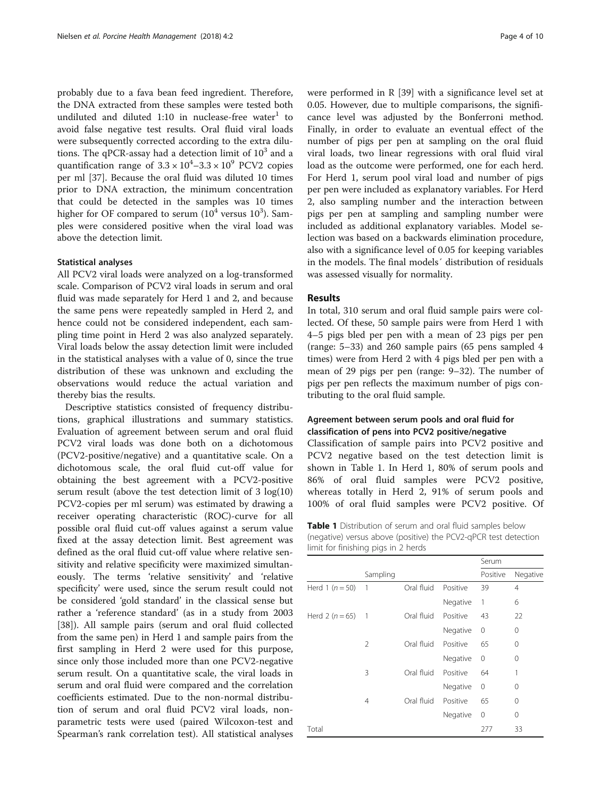probably due to a fava bean feed ingredient. Therefore, the DNA extracted from these samples were tested both undiluted and diluted 1:10 in nuclease-free water $1$  to avoid false negative test results. Oral fluid viral loads were subsequently corrected according to the extra dilutions. The qPCR-assay had a detection limit of  $10^3$  and a quantification range of  $3.3 \times 10^4 - 3.3 \times 10^9$  PCV2 copies per ml [\[37\]](#page-9-0). Because the oral fluid was diluted 10 times prior to DNA extraction, the minimum concentration that could be detected in the samples was 10 times higher for OF compared to serum  $(10^4$  versus  $10^3)$ . Samples were considered positive when the viral load was above the detection limit.

#### Statistical analyses

All PCV2 viral loads were analyzed on a log-transformed scale. Comparison of PCV2 viral loads in serum and oral fluid was made separately for Herd 1 and 2, and because the same pens were repeatedly sampled in Herd 2, and hence could not be considered independent, each sampling time point in Herd 2 was also analyzed separately. Viral loads below the assay detection limit were included in the statistical analyses with a value of 0, since the true distribution of these was unknown and excluding the observations would reduce the actual variation and thereby bias the results.

Descriptive statistics consisted of frequency distributions, graphical illustrations and summary statistics. Evaluation of agreement between serum and oral fluid PCV2 viral loads was done both on a dichotomous (PCV2-positive/negative) and a quantitative scale. On a dichotomous scale, the oral fluid cut-off value for obtaining the best agreement with a PCV2-positive serum result (above the test detection limit of 3 log(10) PCV2-copies per ml serum) was estimated by drawing a receiver operating characteristic (ROC)-curve for all possible oral fluid cut-off values against a serum value fixed at the assay detection limit. Best agreement was defined as the oral fluid cut-off value where relative sensitivity and relative specificity were maximized simultaneously. The terms 'relative sensitivity' and 'relative specificity' were used, since the serum result could not be considered 'gold standard' in the classical sense but rather a 'reference standard' (as in a study from 2003 [[38\]](#page-9-0)). All sample pairs (serum and oral fluid collected from the same pen) in Herd 1 and sample pairs from the first sampling in Herd 2 were used for this purpose, since only those included more than one PCV2-negative serum result. On a quantitative scale, the viral loads in serum and oral fluid were compared and the correlation coefficients estimated. Due to the non-normal distribution of serum and oral fluid PCV2 viral loads, nonparametric tests were used (paired Wilcoxon-test and Spearman's rank correlation test). All statistical analyses were performed in R [[39\]](#page-9-0) with a significance level set at 0.05. However, due to multiple comparisons, the significance level was adjusted by the Bonferroni method. Finally, in order to evaluate an eventual effect of the number of pigs per pen at sampling on the oral fluid viral loads, two linear regressions with oral fluid viral load as the outcome were performed, one for each herd. For Herd 1, serum pool viral load and number of pigs per pen were included as explanatory variables. For Herd 2, also sampling number and the interaction between pigs per pen at sampling and sampling number were included as additional explanatory variables. Model selection was based on a backwards elimination procedure, also with a significance level of 0.05 for keeping variables in the models. The final models´ distribution of residuals was assessed visually for normality.

# Results

In total, 310 serum and oral fluid sample pairs were collected. Of these, 50 sample pairs were from Herd 1 with 4–5 pigs bled per pen with a mean of 23 pigs per pen (range: 5–33) and 260 sample pairs (65 pens sampled 4 times) were from Herd 2 with 4 pigs bled per pen with a mean of 29 pigs per pen (range: 9–32). The number of pigs per pen reflects the maximum number of pigs contributing to the oral fluid sample.

# Agreement between serum pools and oral fluid for classification of pens into PCV2 positive/negative

Classification of sample pairs into PCV2 positive and PCV2 negative based on the test detection limit is shown in Table 1. In Herd 1, 80% of serum pools and 86% of oral fluid samples were PCV2 positive, whereas totally in Herd 2, 91% of serum pools and 100% of oral fluid samples were PCV2 positive. Of

Table 1 Distribution of serum and oral fluid samples below (negative) versus above (positive) the PCV2-qPCR test detection limit for finishing pigs in 2 herds

|                     |                 |            |          | Serum    |                |  |
|---------------------|-----------------|------------|----------|----------|----------------|--|
|                     | Sampling        |            |          | Positive | Negative       |  |
| Herd 1 ( $n = 50$ ) | 1               | Oral fluid | Positive | 39       | $\overline{4}$ |  |
|                     |                 |            | Negative | 1        | 6              |  |
| Herd 2 ( $n = 65$ ) | Oral fluid<br>1 |            | Positive | 43       | 22             |  |
|                     |                 |            | Negative | 0        | 0              |  |
|                     | 2               | Oral fluid | Positive | 65       | 0              |  |
|                     |                 |            | Negative | 0        | 0              |  |
|                     | 3               | Oral fluid | Positive | 64       | 1              |  |
|                     |                 |            | Negative | 0        | 0              |  |
|                     | 4               | Oral fluid | Positive | 65       | 0              |  |
|                     |                 |            | Negative | $\Omega$ | 0              |  |
| Total               |                 |            |          | 277      | 33             |  |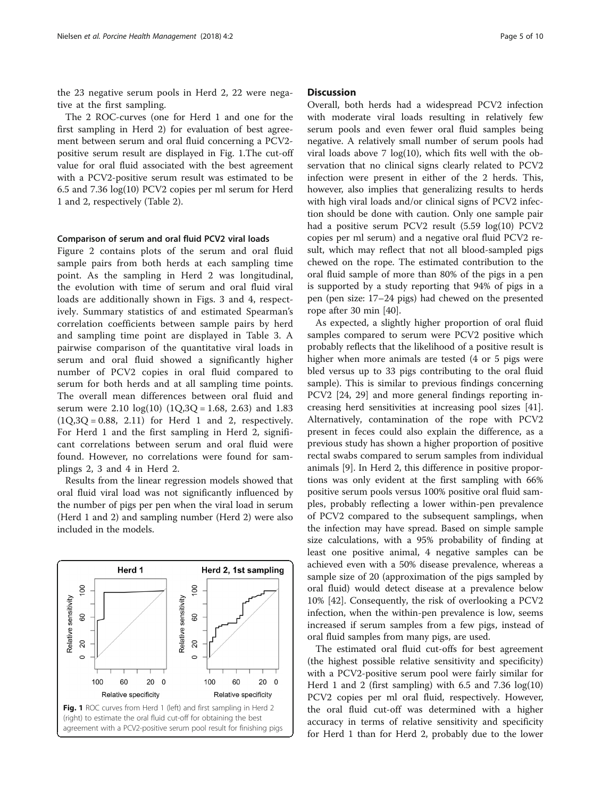the 23 negative serum pools in Herd 2, 22 were negative at the first sampling.

The 2 ROC-curves (one for Herd 1 and one for the first sampling in Herd 2) for evaluation of best agreement between serum and oral fluid concerning a PCV2 positive serum result are displayed in Fig. 1.The cut-off value for oral fluid associated with the best agreement with a PCV2-positive serum result was estimated to be 6.5 and 7.36 log(10) PCV2 copies per ml serum for Herd 1 and 2, respectively (Table [2](#page-5-0)).

### Comparison of serum and oral fluid PCV2 viral loads

Figure [2](#page-5-0) contains plots of the serum and oral fluid sample pairs from both herds at each sampling time point. As the sampling in Herd 2 was longitudinal, the evolution with time of serum and oral fluid viral loads are additionally shown in Figs. [3](#page-6-0) and [4](#page-6-0), respectively. Summary statistics of and estimated Spearman's correlation coefficients between sample pairs by herd and sampling time point are displayed in Table [3](#page-7-0). A pairwise comparison of the quantitative viral loads in serum and oral fluid showed a significantly higher number of PCV2 copies in oral fluid compared to serum for both herds and at all sampling time points. The overall mean differences between oral fluid and serum were 2.10  $log(10)$   $(1Q,3Q = 1.68, 2.63)$  and 1.83  $(1Q,3Q = 0.88, 2.11)$  for Herd 1 and 2, respectively. For Herd 1 and the first sampling in Herd 2, significant correlations between serum and oral fluid were found. However, no correlations were found for samplings 2, 3 and 4 in Herd 2.

Results from the linear regression models showed that oral fluid viral load was not significantly influenced by the number of pigs per pen when the viral load in serum (Herd 1 and 2) and sampling number (Herd 2) were also included in the models.



# **Discussion**

Overall, both herds had a widespread PCV2 infection with moderate viral loads resulting in relatively few serum pools and even fewer oral fluid samples being negative. A relatively small number of serum pools had viral loads above 7  $log(10)$ , which fits well with the observation that no clinical signs clearly related to PCV2 infection were present in either of the 2 herds. This, however, also implies that generalizing results to herds with high viral loads and/or clinical signs of PCV2 infection should be done with caution. Only one sample pair had a positive serum PCV2 result (5.59 log(10) PCV2 copies per ml serum) and a negative oral fluid PCV2 result, which may reflect that not all blood-sampled pigs chewed on the rope. The estimated contribution to the oral fluid sample of more than 80% of the pigs in a pen is supported by a study reporting that 94% of pigs in a pen (pen size: 17–24 pigs) had chewed on the presented rope after 30 min [[40](#page-9-0)].

As expected, a slightly higher proportion of oral fluid samples compared to serum were PCV2 positive which probably reflects that the likelihood of a positive result is higher when more animals are tested (4 or 5 pigs were bled versus up to 33 pigs contributing to the oral fluid sample). This is similar to previous findings concerning PCV2 [\[24](#page-8-0), [29](#page-8-0)] and more general findings reporting increasing herd sensitivities at increasing pool sizes [\[41](#page-9-0)]. Alternatively, contamination of the rope with PCV2 present in feces could also explain the difference, as a previous study has shown a higher proportion of positive rectal swabs compared to serum samples from individual animals [\[9](#page-8-0)]. In Herd 2, this difference in positive proportions was only evident at the first sampling with 66% positive serum pools versus 100% positive oral fluid samples, probably reflecting a lower within-pen prevalence of PCV2 compared to the subsequent samplings, when the infection may have spread. Based on simple sample size calculations, with a 95% probability of finding at least one positive animal, 4 negative samples can be achieved even with a 50% disease prevalence, whereas a sample size of 20 (approximation of the pigs sampled by oral fluid) would detect disease at a prevalence below 10% [\[42\]](#page-9-0). Consequently, the risk of overlooking a PCV2 infection, when the within-pen prevalence is low, seems increased if serum samples from a few pigs, instead of oral fluid samples from many pigs, are used.

The estimated oral fluid cut-offs for best agreement (the highest possible relative sensitivity and specificity) with a PCV2-positive serum pool were fairly similar for Herd 1 and 2 (first sampling) with 6.5 and 7.36 log(10) PCV2 copies per ml oral fluid, respectively. However, the oral fluid cut-off was determined with a higher accuracy in terms of relative sensitivity and specificity for Herd 1 than for Herd 2, probably due to the lower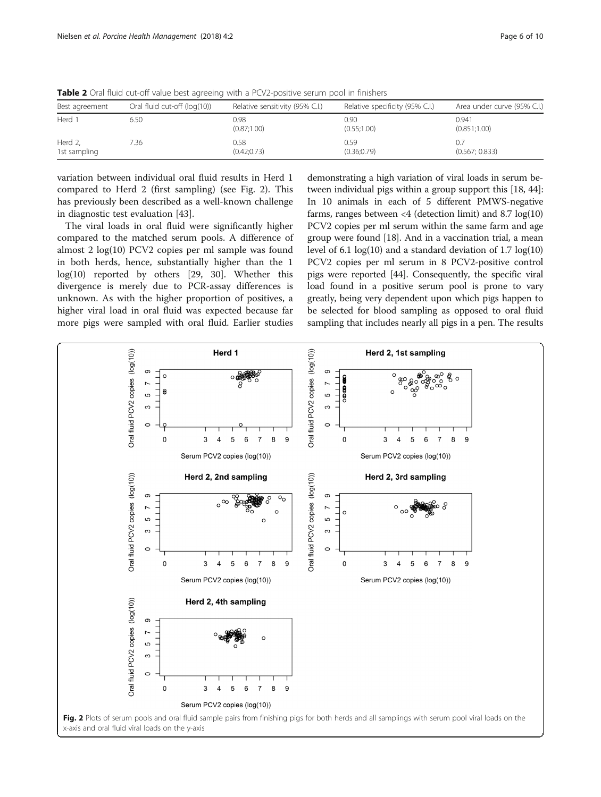| Best agreement          | Oral fluid cut-off (log(10)) | Relative sensitivity (95% C.I.) | Relative specificity (95% C.I.) | Area under curve (95% C.I.) |
|-------------------------|------------------------------|---------------------------------|---------------------------------|-----------------------------|
| Herd 1                  | 6.50                         | 0.98<br>(0.87;1.00)             | 0.90<br>(0.55;1.00)             | 0.941<br>(0.851;1.00)       |
| Herd 2,<br>1st sampling | 7.36                         | 0.58<br>(0.42; 0.73)            | 0.59<br>(0.36; 0.79)            | 0.7<br>(0.567; 0.833)       |

<span id="page-5-0"></span>**Table 2** Oral fluid cut-off value best agreeing with a PCV2-positive serum pool in finishers

variation between individual oral fluid results in Herd 1 compared to Herd 2 (first sampling) (see Fig. 2). This has previously been described as a well-known challenge in diagnostic test evaluation [\[43](#page-9-0)].

The viral loads in oral fluid were significantly higher compared to the matched serum pools. A difference of almost 2 log(10) PCV2 copies per ml sample was found in both herds, hence, substantially higher than the 1 log(10) reported by others [\[29, 30\]](#page-8-0). Whether this divergence is merely due to PCR-assay differences is unknown. As with the higher proportion of positives, a higher viral load in oral fluid was expected because far more pigs were sampled with oral fluid. Earlier studies

demonstrating a high variation of viral loads in serum between individual pigs within a group support this [\[18,](#page-8-0) [44](#page-9-0)]: In 10 animals in each of 5 different PMWS-negative farms, ranges between  $\langle 4 \rangle$  (detection limit) and 8.7 log(10) PCV2 copies per ml serum within the same farm and age group were found [\[18\]](#page-8-0). And in a vaccination trial, a mean level of 6.1 log(10) and a standard deviation of 1.7 log(10) PCV2 copies per ml serum in 8 PCV2-positive control pigs were reported [[44\]](#page-9-0). Consequently, the specific viral load found in a positive serum pool is prone to vary greatly, being very dependent upon which pigs happen to be selected for blood sampling as opposed to oral fluid sampling that includes nearly all pigs in a pen. The results

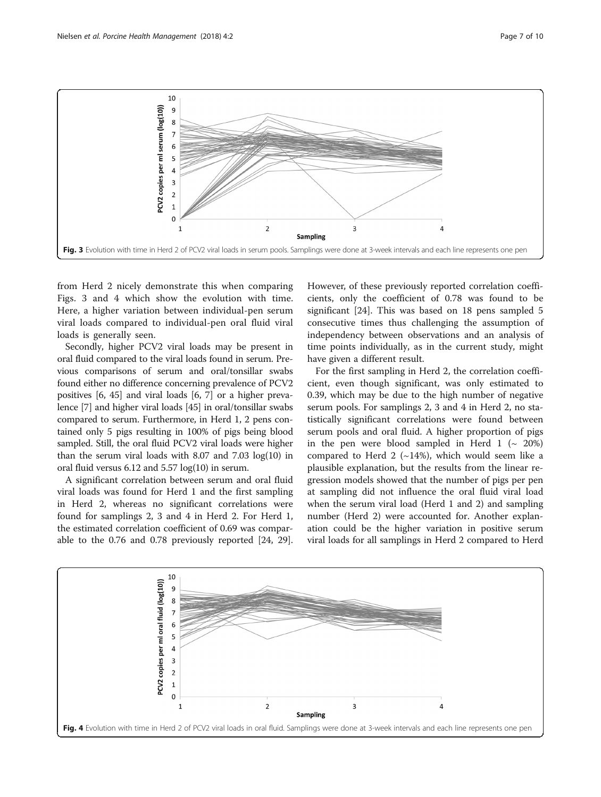<span id="page-6-0"></span>

from Herd 2 nicely demonstrate this when comparing Figs. 3 and 4 which show the evolution with time. Here, a higher variation between individual-pen serum viral loads compared to individual-pen oral fluid viral loads is generally seen.

Secondly, higher PCV2 viral loads may be present in oral fluid compared to the viral loads found in serum. Previous comparisons of serum and oral/tonsillar swabs found either no difference concerning prevalence of PCV2 positives [\[6,](#page-8-0) [45](#page-9-0)] and viral loads [[6](#page-8-0), [7](#page-8-0)] or a higher prevalence [\[7](#page-8-0)] and higher viral loads [[45](#page-9-0)] in oral/tonsillar swabs compared to serum. Furthermore, in Herd 1, 2 pens contained only 5 pigs resulting in 100% of pigs being blood sampled. Still, the oral fluid PCV2 viral loads were higher than the serum viral loads with 8.07 and 7.03 log(10) in oral fluid versus 6.12 and 5.57 log(10) in serum.

A significant correlation between serum and oral fluid viral loads was found for Herd 1 and the first sampling in Herd 2, whereas no significant correlations were found for samplings 2, 3 and 4 in Herd 2. For Herd 1, the estimated correlation coefficient of 0.69 was comparable to the 0.76 and 0.78 previously reported [[24, 29](#page-8-0)]. However, of these previously reported correlation coefficients, only the coefficient of 0.78 was found to be significant [\[24\]](#page-8-0). This was based on 18 pens sampled 5 consecutive times thus challenging the assumption of independency between observations and an analysis of time points individually, as in the current study, might have given a different result.

For the first sampling in Herd 2, the correlation coefficient, even though significant, was only estimated to 0.39, which may be due to the high number of negative serum pools. For samplings 2, 3 and 4 in Herd 2, no statistically significant correlations were found between serum pools and oral fluid. A higher proportion of pigs in the pen were blood sampled in Herd  $1 (\sim 20\%)$ compared to Herd 2 ( $\sim$ 14%), which would seem like a plausible explanation, but the results from the linear regression models showed that the number of pigs per pen at sampling did not influence the oral fluid viral load when the serum viral load (Herd 1 and 2) and sampling number (Herd 2) were accounted for. Another explanation could be the higher variation in positive serum viral loads for all samplings in Herd 2 compared to Herd

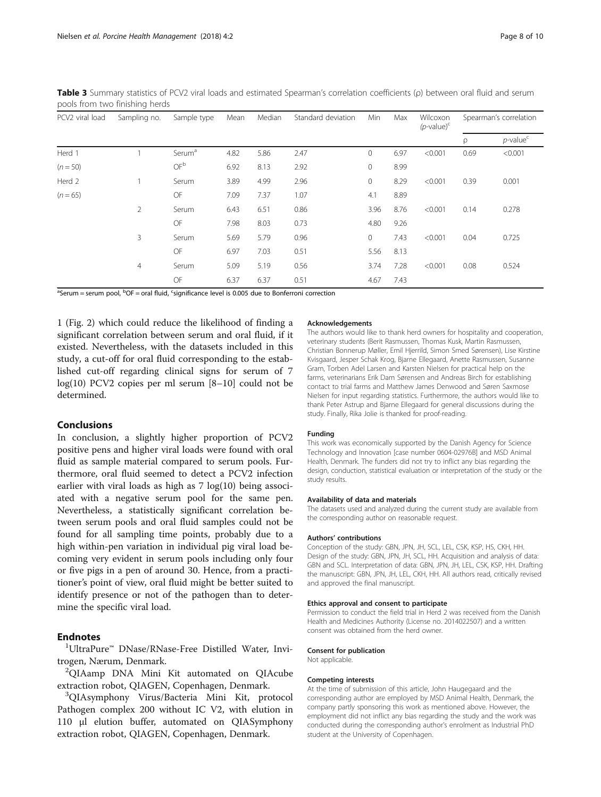| PCV2 viral load | Sampling no.   | Sample type        | Mean | Median | Standard deviation | Min     | Max  | Wilcoxon<br>$(p$ -value $)^c$ | Spearman's correlation |                         |
|-----------------|----------------|--------------------|------|--------|--------------------|---------|------|-------------------------------|------------------------|-------------------------|
|                 |                |                    |      |        |                    |         |      |                               | ρ                      | $p$ -value <sup>c</sup> |
| Herd 1          |                | Serum <sup>a</sup> | 4.82 | 5.86   | 2.47               | 0       | 6.97 | < 0.001                       | 0.69                   | < 0.001                 |
| $(n = 50)$      |                | OF <sup>b</sup>    | 6.92 | 8.13   | 2.92               | 0       | 8.99 |                               |                        |                         |
| Herd 2          |                | Serum              | 3.89 | 4.99   | 2.96               | 0       | 8.29 | < 0.001                       | 0.39                   | 0.001                   |
| $(n = 65)$      |                | OF                 | 7.09 | 7.37   | 1.07               | 4.1     | 8.89 |                               |                        |                         |
|                 | $\overline{2}$ | Serum              | 6.43 | 6.51   | 0.86               | 3.96    | 8.76 | < 0.001                       | 0.14                   | 0.278                   |
|                 |                | OF                 | 7.98 | 8.03   | 0.73               | 4.80    | 9.26 |                               |                        |                         |
|                 | 3              | Serum              | 5.69 | 5.79   | 0.96               | $\circ$ | 7.43 | < 0.001                       | 0.04                   | 0.725                   |
|                 |                | OF                 | 6.97 | 7.03   | 0.51               | 5.56    | 8.13 |                               |                        |                         |
|                 | $\overline{4}$ | Serum              | 5.09 | 5.19   | 0.56               | 3.74    | 7.28 | < 0.001                       | 0.08                   | 0.524                   |
|                 |                | OF                 | 6.37 | 6.37   | 0.51               | 4.67    | 7.43 |                               |                        |                         |

<span id="page-7-0"></span>Table 3 Summary statistics of PCV2 viral loads and estimated Spearman's correlation coefficients (ρ) between oral fluid and serum pools from two finishing herds

<sup>a</sup>Serum = serum pool, <sup>b</sup>OF = oral fluid, <sup>c</sup>significance level is 0.005 due to Bonferroni correction

1 (Fig. [2](#page-5-0)) which could reduce the likelihood of finding a significant correlation between serum and oral fluid, if it existed. Nevertheless, with the datasets included in this study, a cut-off for oral fluid corresponding to the established cut-off regarding clinical signs for serum of 7 log(10) PCV2 copies per ml serum [[8](#page-8-0)–[10\]](#page-8-0) could not be determined.

# Conclusions

In conclusion, a slightly higher proportion of PCV2 positive pens and higher viral loads were found with oral fluid as sample material compared to serum pools. Furthermore, oral fluid seemed to detect a PCV2 infection earlier with viral loads as high as  $7 \log(10)$  being associated with a negative serum pool for the same pen. Nevertheless, a statistically significant correlation between serum pools and oral fluid samples could not be found for all sampling time points, probably due to a high within-pen variation in individual pig viral load becoming very evident in serum pools including only four or five pigs in a pen of around 30. Hence, from a practitioner's point of view, oral fluid might be better suited to identify presence or not of the pathogen than to determine the specific viral load.

# **Endnotes**

<sup>1</sup>UltraPure™ DNase/RNase-Free Distilled Water, Invitrogen, Nærum, Denmark. <sup>2</sup>

QIAamp DNA Mini Kit automated on QIAcube extraction robot, QIAGEN, Copenhagen, Denmark. <sup>3</sup>

QIAsymphony Virus/Bacteria Mini Kit, protocol Pathogen complex 200 without IC V2, with elution in 110 μl elution buffer, automated on QIASymphony extraction robot, QIAGEN, Copenhagen, Denmark.

#### Acknowledgements

The authors would like to thank herd owners for hospitality and cooperation, veterinary students (Berit Rasmussen, Thomas Kusk, Martin Rasmussen, Christian Bonnerup Møller, Emil Hjerrild, Simon Smed Sørensen), Lise Kirstine Kvisgaard, Jesper Schak Krog, Bjarne Ellegaard, Anette Rasmussen, Susanne Gram, Torben Adel Larsen and Karsten Nielsen for practical help on the farms, veterinarians Erik Dam Sørensen and Andreas Birch for establishing contact to trial farms and Matthew James Denwood and Søren Saxmose Nielsen for input regarding statistics. Furthermore, the authors would like to thank Peter Astrup and Bjarne Ellegaard for general discussions during the study. Finally, Rika Jolie is thanked for proof-reading.

## Funding

This work was economically supported by the Danish Agency for Science Technology and Innovation [case number 0604-02976B] and MSD Animal Health, Denmark. The funders did not try to inflict any bias regarding the design, conduction, statistical evaluation or interpretation of the study or the study results.

#### Availability of data and materials

The datasets used and analyzed during the current study are available from the corresponding author on reasonable request.

#### Authors' contributions

Conception of the study: GBN, JPN, JH, SCL, LEL, CSK, KSP, HS, CKH, HH. Design of the study: GBN, JPN, JH, SCL, HH. Acquisition and analysis of data: GBN and SCL. Interpretation of data: GBN, JPN, JH, LEL, CSK, KSP, HH. Drafting the manuscript: GBN, JPN, JH, LEL, CKH, HH. All authors read, critically revised and approved the final manuscript.

#### Ethics approval and consent to participate

Permission to conduct the field trial in Herd 2 was received from the Danish Health and Medicines Authority (License no. 2014022507) and a written consent was obtained from the herd owner.

#### Consent for publication

Not applicable.

#### Competing interests

At the time of submission of this article, John Haugegaard and the corresponding author are employed by MSD Animal Health, Denmark, the company partly sponsoring this work as mentioned above. However, the employment did not inflict any bias regarding the study and the work was conducted during the corresponding author's enrolment as Industrial PhD student at the University of Copenhagen.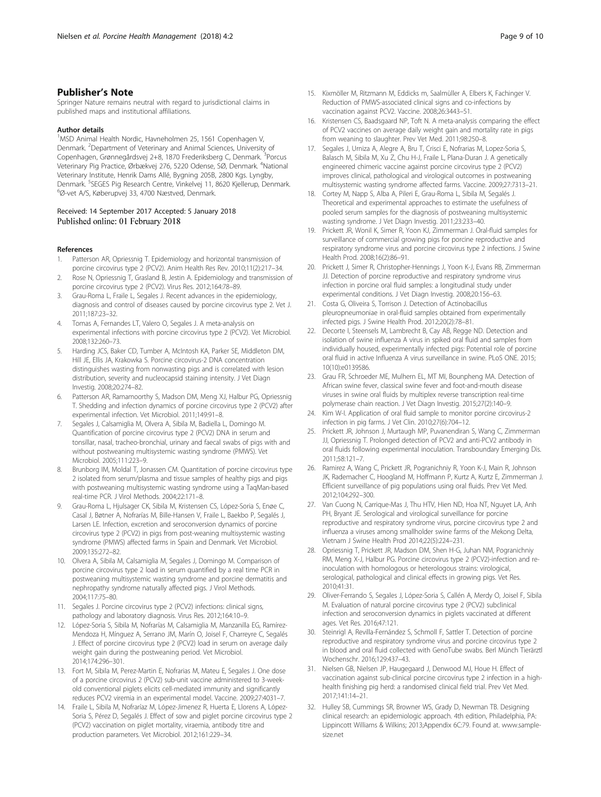# <span id="page-8-0"></span>Publisher's Note

Springer Nature remains neutral with regard to jurisdictional claims in published maps and institutional affiliations.

#### Author details

<sup>1</sup>MSD Animal Health Nordic, Havneholmen 25, 1561 Copenhagen V, Denmark. <sup>2</sup>Department of Veterinary and Animal Sciences, University of Copenhagen, Grønnegårdsvej 2+8, 1870 Frederiksberg C, Denmark. <sup>3</sup>Porcus Veterinary Pig Practice, Ørbækvej 276, 5220 Odense, SØ, Denmark. <sup>4</sup>National Veterinary Institute, Henrik Dams Allé, Bygning 205B, 2800 Kgs. Lyngby, Denmark. <sup>5</sup>SEGES Pig Research Centre, Vinkelvej 11, 8620 Kjellerup, Denmark.<br><sup>6</sup>Øsvet A/S. Køberupvej 33, 4700 Næstved, Denmark. <sup>6</sup>Ø-vet A/S, Køberupvej 33, 4700 Næstved, Denmark.

#### Received: 14 September 2017 Accepted: 5 January 2018 Published online: 01 February 2018

#### References

- 1. Patterson AR, Opriessnig T. Epidemiology and horizontal transmission of porcine circovirus type 2 (PCV2). Anim Health Res Rev. 2010;11(2):217–34.
- 2. Rose N, Opriessnig T, Grasland B, Jestin A. Epidemiology and transmission of porcine circovirus type 2 (PCV2). Virus Res. 2012;164:78–89.
- 3. Grau-Roma L, Fraile L, Segales J. Recent advances in the epidemiology, diagnosis and control of diseases caused by porcine circovirus type 2. Vet J. 2011;187:23–32.
- 4. Tomas A, Fernandes LT, Valero O, Segales J. A meta-analysis on experimental infections with porcine circovirus type 2 (PCV2). Vet Microbiol. 2008;132:260–73.
- 5. Harding JCS, Baker CD, Tumber A, McIntosh KA, Parker SE, Middleton DM, Hill JE, Ellis JA, Krakowka S. Porcine circovirus-2 DNA concentration distinguishes wasting from nonwasting pigs and is correlated with lesion distribution, severity and nucleocapsid staining intensity. J Vet Diagn Investig. 2008;20:274–82.
- 6. Patterson AR, Ramamoorthy S, Madson DM, Meng XJ, Halbur PG, Opriessnig T. Shedding and infection dynamics of porcine circovirus type 2 (PCV2) after experimental infection. Vet Microbiol. 2011;149:91–8.
- Segales J, Calsamiglia M, Olvera A, Sibila M, Badiella L, Domingo M. Quantification of porcine circovirus type 2 (PCV2) DNA in serum and tonsillar, nasal, tracheo-bronchial, urinary and faecal swabs of pigs with and without postweaning multisystemic wasting syndrome (PMWS). Vet Microbiol. 2005;111:223–9.
- 8. Brunborg IM, Moldal T, Jonassen CM. Quantitation of porcine circovirus type 2 isolated from serum/plasma and tissue samples of healthy pigs and pigs with postweaning multisystemic wasting syndrome using a TaqMan-based real-time PCR. J Virol Methods. 2004;22:171–8.
- 9. Grau-Roma L, Hjulsager CK, Sibila M, Kristensen CS, López-Soria S, Enøe C, Casal J, Bøtner A, Nofrarías M, Bille-Hansen V, Fraile L, Baekbo P, Segalés J, Larsen LE. Infection, excretion and seroconversion dynamics of porcine circovirus type 2 (PCV2) in pigs from post-weaning multisystemic wasting syndrome (PMWS) affected farms in Spain and Denmark. Vet Microbiol. 2009;135:272–82.
- 10. Olvera A, Sibila M, Calsamiglia M, Segales J, Domingo M. Comparison of porcine circovirus type 2 load in serum quantified by a real time PCR in postweaning multisystemic wasting syndrome and porcine dermatitis and nephropathy syndrome naturally affected pigs. J Virol Methods. 2004;117:75–80.
- 11. Segales J. Porcine circovirus type 2 (PCV2) infections: clinical signs, pathology and laboratory diagnosis. Virus Res. 2012;164:10–9.
- 12. López-Soria S, Sibila M, Nofrarías M, Calsamiglia M, Manzanilla EG, Ramírez-Mendoza H, Mínguez A, Serrano JM, Marín O, Joisel F, Charreyre C, Segalés J. Effect of porcine circovirus type 2 (PCV2) load in serum on average daily weight gain during the postweaning period. Vet Microbiol. 2014;174:296–301.
- 13. Fort M, Sibila M, Perez-Martin E, Nofrarias M, Mateu E, Segales J. One dose of a porcine circovirus 2 (PCV2) sub-unit vaccine administered to 3-weekold conventional piglets elicits cell-mediated immunity and significantly reduces PCV2 viremia in an experimental model. Vaccine. 2009;27:4031–7.
- 14. Fraile L, Sibila M, Nofraríaz M, López-Jimenez R, Huerta E, Llorens A, López-Soria S, Pérez D, Segalés J. Effect of sow and piglet porcine circovirus type 2 (PCV2) vaccination on piglet mortality, viraemia, antibody titre and production parameters. Vet Microbiol. 2012;161:229–34.
- 15. Kixmöller M, Ritzmann M, Eddicks m, Saalmüller A, Elbers K, Fachinger V. Reduction of PMWS-associated clinical signs and co-infections by vaccination against PCV2. Vaccine. 2008;26:3443–51.
- 16. Kristensen CS, Baadsgaard NP, Toft N. A meta-analysis comparing the effect of PCV2 vaccines on average daily weight gain and mortality rate in pigs from weaning to slaughter. Prev Vet Med. 2011;98:250–8.
- 17. Segales J, Urniza A, Alegre A, Bru T, Crisci E, Nofrarias M, Lopez-Soria S, Balasch M, Sibila M, Xu Z, Chu H-J, Fraile L, Plana-Duran J. A genetically engineered chimeric vaccine against porcine circovirus type 2 (PCV2) improves clinical, pathological and virological outcomes in postweaning multisystemic wasting syndrome affected farms. Vaccine. 2009;27:7313–21.
- 18. Cortey M, Napp S, Alba A, Pileri E, Grau-Roma L, Sibila M, Segalés J. Theoretical and experimental approaches to estimate the usefulness of pooled serum samples for the diagnosis of postweaning multisystemic wasting syndrome. J Vet Diagn Investig. 2011;23:233–40.
- 19. Prickett JR, Wonil K, Simer R, Yoon KJ, Zimmerman J. Oral-fluid samples for surveillance of commercial growing pigs for porcine reproductive and respiratory syndrome virus and porcine circovirus type 2 infections. J Swine Health Prod. 2008;16(2):86–91.
- 20. Prickett J, Simer R, Christopher-Hennings J, Yoon K-J, Evans RB, Zimmerman JJ. Detection of porcine reproductive and respiratory syndrome virus infection in porcine oral fluid samples: a longitudinal study under experimental conditions. J Vet Diagn Investig. 2008;20:156–63.
- 21. Costa G, Oliveira S, Torrison J. Detection of Actinobacillus pleuropneumoniae in oral-fluid samples obtained from experimentally infected pigs. J Swine Health Prod. 2012;20(2):78–81.
- 22. Decorte I, Steensels M, Lambrecht B, Cay AB, Regge ND. Detection and isolation of swine influenza A virus in spiked oral fluid and samples from individually housed, experimentally infected pigs: Potential role of porcine oral fluid in active Influenza A virus surveillance in swine. PLoS ONE. 2015; 10(10):e0139586.
- 23. Grau FR, Schroeder ME, Mulhern EL, MT MI, Bounpheng MA. Detection of African swine fever, classical swine fever and foot-and-mouth disease viruses in swine oral fluids by multiplex reverse transcription real-time polymerase chain reaction. J Vet Diagn Investig. 2015;27(2):140–9.
- 24. Kim W-I. Application of oral fluid sample to monitor porcine circovirus-2 infection in pig farms. J Vet Clin. 2010;27(6):704–12.
- 25. Prickett JR, Johnson J, Murtaugh MP, Puvanendiran S, Wang C, Zimmerman JJ, Opriessnig T. Prolonged detection of PCV2 and anti-PCV2 antibody in oral fluids following experimental inoculation. Transboundary Emerging Dis. 2011;58:121–7.
- 26. Ramirez A, Wang C, Prickett JR, Pogranichniy R, Yoon K-J, Main R, Johnson JK, Rademacher C, Hoogland M, Hoffmann P, Kurtz A, Kurtz E, Zimmerman J. Efficient surveillance of pig populations using oral fluids. Prev Vet Med. 2012;104:292–300.
- 27. Van Cuong N, Carrique-Mas J, Thu HTV, Hien ND, Hoa NT, Nguyet LA, Anh PH, Bryant JE. Serological and virological surveillance for porcine reproductive and respiratory syndrome virus, porcine circovirus type 2 and influenza a viruses among smallholder swine farms of the Mekong Delta, Vietnam J Swine Health Prod 2014;22(5):224–231.
- 28. Opriessnig T, Prickett JR, Madson DM, Shen H-G, Juhan NM, Pogranichniy RM, Meng X-J, Halbur PG. Porcine circovirus type 2 (PCV2)-infection and reinoculation with homologous or heterologous strains: virological, serological, pathological and clinical effects in growing pigs. Vet Res. 2010;41:31.
- 29. Oliver-Ferrando S, Segales J, López-Soria S, Callén A, Merdy O, Joisel F, Sibila M. Evaluation of natural porcine circovirus type 2 (PCV2) subclinical infection and seroconversion dynamics in piglets vaccinated at different ages. Vet Res. 2016;47:121.
- 30. Steinrigl A, Revilla-Fernández S, Schmoll F, Sattler T. Detection of porcine reproductive and respiratory syndrome virus and porcine circovirus type 2 in blood and oral fluid collected with GenoTube swabs. Berl Münch Tierärztl Wochenschr. 2016;129:437–43.
- 31. Nielsen GB, Nielsen JP, Haugegaard J, Denwood MJ, Houe H. Effect of vaccination against sub-clinical porcine circovirus type 2 infection in a highhealth finishing pig herd: a randomised clinical field trial. Prev Vet Med. 2017;141:14–21.
- 32. Hulley SB, Cummings SR, Browner WS, Grady D, Newman TB. Designing clinical research: an epidemiologic approach. 4th edition, Philadelphia, PA: Lippincott Williams & Wilkins; 2013;Appendix 6C:79. Found at. [www.sample](http://www.sample-size.net)[size.net](http://www.sample-size.net)